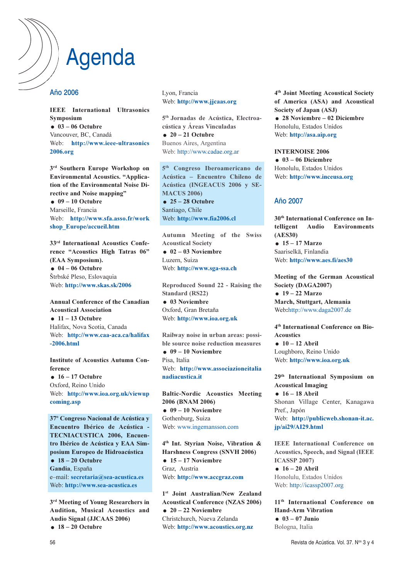# Agenda

#### Año 2006

IEEE International Ultrasonics Symposium  $03 - 06$  Octubre Vancouver, BC, Canadá Web: http://www.ieee-ultrasonics 2006.org

3rd Southern Europe Workshop on Environmental Acoustics. "Application of the Environmental Noise Directive and Noise mapping"  $09 - 10$  Octubre Marseille, Francia Web: http://www.sfa.asso.fr/work shop\_Europe/accueil.htm

33rd International Acoustics Conference "Acoustics High Tatras 06" (EAA Symposium).  $04 - 06$  Octubre Štrbské Pleso, Eslovaquia Web: http://www.skas.sk/2006

Annual Conference of the Canadian Acoustical Association  $\bullet$  11 – 13 Octubre Halifax, Nova Scotia, Canada Web: http://www.caa-aca.ca/halifax -2006.html

Institute of Acoustics Autumn Conference  $\bullet$  16 – 17 Octubre

Oxford, Reino Unido Web: http://www.ioa.org.uk/viewup coming.asp

37º Congreso Nacional de Acústica y Encuentro Ibérico de Acústica - TECNIACUSTICA 2006, Encuentro Ibérico de Acústica y EAA Simposium Europeo de Hidroacústica  $\bullet$  18 – 20 Octubre

Gandia, España e–mail: secretaria@sea-acustica.es Web: http://www.sea-acustica.es

 $3<sup>rd</sup>$  Meeting of Young Researchers in Audition, Musical Acoustics and Audio Signal (JJCAAS 2006)  $\bullet$  18 – 20 Octubre

Lyon, Francia Web: http://www.jjcaas.org

5th Jornadas de Acústica, Electroacústica y Áreas Vinculadas

 $\bullet$  20 – 21 Octubre Buenos Aires, Argentina Web: http://www.cadae.org.ar

5th Congreso Iberoamericano de Acústica – Encuentro Chileno de Acústica (INGEACUS 2006 y SE-MACUS 2006)  $\bullet$  25 – 28 Octubre Santiago, Chile Web: http://www.fia2006.cl

Autumn Meeting of the Swiss Acoustical Society  $02 - 03$  Noviembre Luzern, Suiza Web: http://www.sga-ssa.ch

Reproduced Sound 22 - Raising the Standard (RS22) **03 Noviembre** 

Oxford, Gran Bretaña Web: http://www.ioa.org.uk

Railway noise in urban areas: possible source noise reduction measures  $09 - 10$  Noviembre Pisa, Italia Web: http://www.associazioneitalia nadiacustica.it

Baltic-Nordic Acoustics Meeting 2006 (BNAM 2006)  $09 - 10$  Noviembre Gothenburg, Suiza Web: www.ingemansson.com

4th Int. Styrian Noise, Vibration & Harshness Congress (SNVH 2006)  $\bullet$  15 – 17 Noviembre Graz, Austria Web: http://www.accgraz.com

1<sup>st</sup> Joint Australian/New Zealand Acoustical Conference (NZAS 2006)  $\bullet$  20 – 22 Noviembre Christchurch, Nueva Zelanda Web: http://www.acoustics.org.nz

4th Joint Meeting Acoustical Society of America (ASA) and Acoustical Society of Japan (ASJ) 28 Noviembre – 02 Diciembre Honolulu, Estados Unidos Web: http://asa.aip.org

INTERNOISE 2006  $03 - 06$  Diciembre Honolulu, Estados Unidos Web: http://www.inceusa.org

#### Año 2007

30th International Conference on Intelligent Audio Environments (AES30)  $\bullet$  15 – 17 Marzo Saariselkä, Finlandia Web: http://www.aes.fi/aes30

Meeting of the German Acoustical Society (DAGA2007)  $\bullet$  19 – 22 Marzo March, Stuttgart, Alemania Web:http://www.daga2007.de

4th International Conference on Bio-Acoustics  $\bullet$  10 – 12 Abril Loughboro, Reino Unido

Web: http://www.ioa.org.uk

29th International Symposium on Acoustical Imaging  $\bullet$  16 – 18 Abril Shonan Village Center, Kanagawa Pref., Japón Web: http://publicweb.shonan-it.ac. jp/ai29/AI29.html

IEEE International Conference on Acoustics, Speech, and Signal (IEEE ICASSP 2007)  $\bullet$  16 – 20 Abril Honolulu, Estados Unidos

Web: http://icassp2007.org

11th International Conference on Hand-Arm Vibration  $03 - 07$  Junio Bologna, Italia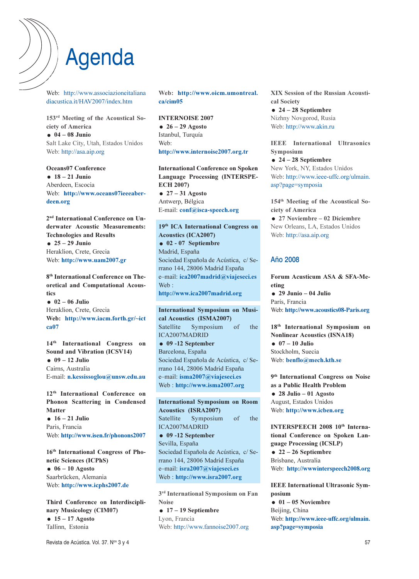# Agenda

Web: http://www.associazioneitaliana diacustica.it/HAV2007/index.htm

153rd Meeting of the Acoustical Society of America  $-04 - 08$  Junio Salt Lake City, Utah, Estados Unidos Web: http://asa.aip.org

Oceans07 Conference  $-18 - 21$  Junio Aberdeen, Escocia Web: http://www.oceans07ieeeaberdeen.org

2nd International Conference on Underwater Acoustic Measurements: Technologies and Results  $\bullet$  25 – 29 Junio Heraklion, Crete, Grecia Web: http://www.uam2007.gr

8th International Conference on Theoretical and Computational Acoustics  $02 - 06$  Julio

Heraklion, Crete, Grecia Web: http://www.iacm.forth.gr/~ict ca07

14th International Congress on Sound and Vibration (ICSV14)

 $\bullet$  09 – 12 Julio Cairns, Australia E-mail: n.kessissoglou@unsw.edu.au

12th International Conference on Phonon Scattering in Condensed **Matter**  $\bullet$  16 – 21 Julio Paris, Francia Web: http://www.isen.fr/phonons2007

16th International Congress of Phonetic Sciences (ICPhS)  $06 - 10$  Agosto Saarbrücken, Alemania Web: http://www.icphs2007.de

Third Conference on Interdisciplinary Musicology (CIM07) 15 – 17 Agosto Tallinn, Estonia

Web: http://www.oicm.umontreal. ca/cim05

INTERNOISE 2007  $\bullet$  26 – 29 Agosto Istanbul, Turquía Web: http://www.internoise2007.org.tr

International Conference on Spoken Language Processing (INTERSPE-ECH 2007)  $\bullet$  27 – 31 Agosto Antwerp, Bélgica E-mail: conf@isca-speech.org

19<sup>th</sup> ICA International Congress on Acoustics (ICA2007) 02 - 07 Septiembre Madrid, España Sociedad Española de Acústica, c/ Serrano 144, 28006 Madrid España e–mail: ica2007madrid@viajeseci.es Web: http://www.ica2007madrid.org

International Symposium on Musical Acoustics (ISMA2007) Satellite Symposium of the ICA2007MADRID  $\bullet$  09 -12 September Barcelona, España Sociedad Española de Acústica, c/ Serrano 144, 28006 Madrid España e–mail: isma2007@viajeseci.es Web : http://www.isma2007.org

International Symposium on Room Acoustics (ISRA2007) Satellite Symposium of the ICA2007MADRID  $09 - 12$  September Sevilla, España Sociedad Española de Acústica, c/ Serrano 144, 28006 Madrid España e–mail: isra2007@viajeseci.es Web : http://www.isra2007.org

 $3<sup>rd</sup>$  International Symposium on Fan Noise  $\bullet$  17 – 19 Septiembre

Lyon, Francia Web: http://www.fannoise2007.org XIX Session of the Russian Acoustical Society

 $\bullet$  24 – 28 Septiembre Nizhny Novgorod, Rusia Web: http://www.akin.ru

IEEE International Ultrasonics Symposium

 $\bullet$  24 – 28 Septiembre New York, NY, Estados Unidos Web: http://www.ieee-uffc.org/ulmain. asp?page=symposia

154th Meeting of the Acoustical Society of America 27 Noviembre – 02 Diciembre New Orleans, LA, Estados Unidos Web: http://asa.aip.org

### Año 2008

Forum Acusticum ASA & SFA-Meeting 29 Junio – 04 Julio París, Francia Web: http://www.acoustics08-Paris.org

18th International Symposium on Nonlinear Acoustics (ISNA18)  $\bullet$  07 – 10 Julio Stockholm, Suecia Web: benflo@mech.kth.se

9th International Congress on Noise as a Public Health Problem 28 Julio – 01 Agosto August, Estados Unidos Web: http://www.icben.org

INTERSPEECH 2008 10<sup>th</sup> International Conference on Spoken Language Processing (ICSLP)  $\bullet$  22 – 26 Septiembre Brisbane, Australia Web: http://wwwinterspeech2008.org

IEEE International Ultrasonic Symposium  $01 - 05$  Noviembre Beijing, China Web: http://www.ieee-uffc.org/ulmain. asp?page=symposia